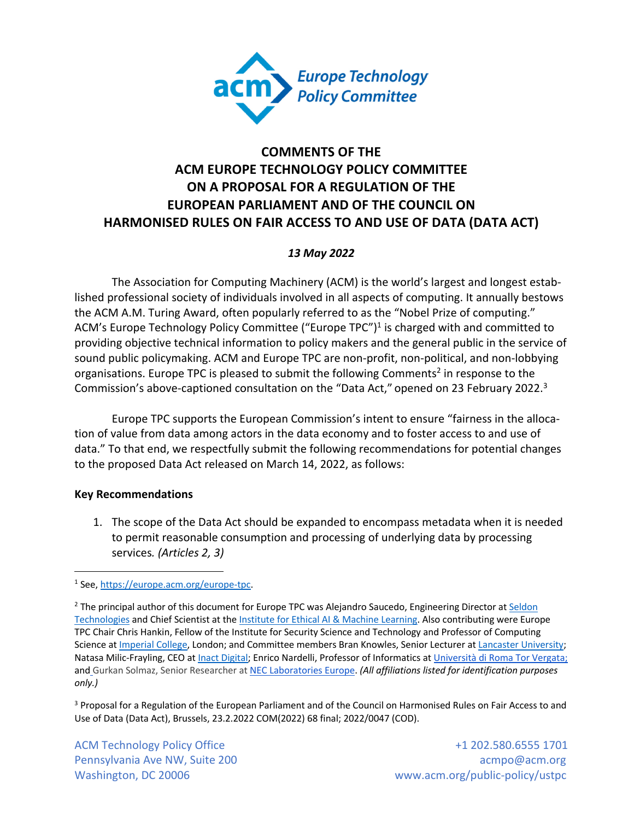

# **COMMENTS OF THE ACM EUROPE TECHNOLOGY POLICY COMMITTEE ON A PROPOSAL FOR A REGULATION OF THE EUROPEAN PARLIAMENT AND OF THE COUNCIL ON HARMONISED RULES ON FAIR ACCESS TO AND USE OF DATA (DATA ACT)**

## *13 May 2022*

The Association for Computing Machinery (ACM) is the world's largest and longest established professional society of individuals involved in all aspects of computing. It annually bestows the ACM A.M. Turing Award, often popularly referred to as the "Nobel Prize of computing." ACM's Europe Technology Policy Committee ("Europe TPC")<sup>1</sup> is charged with and committed to providing objective technical information to policy makers and the general public in the service of sound public policymaking. ACM and Europe TPC are non-profit, non-political, and non-lobbying organisations. Europe TPC is pleased to submit the following Comments<sup>2</sup> in response to the Commission's above-captioned consultation on the "Data Act," opened on 23 February 2022.<sup>3</sup>

Europe TPC supports the European Commission's intent to ensure "fairness in the allocation of value from data among actors in the data economy and to foster access to and use of data." To that end, we respectfully submit the following recommendations for potential changes to the proposed Data Act released on March 14, 2022, as follows:

#### **Key Recommendations**

1. The scope of the Data Act should be expanded to encompass metadata when it is needed to permit reasonable consumption and processing of underlying data by processing services*. (Articles 2, 3)*

<sup>3</sup> Proposal for a Regulation of the European Parliament and of the Council on Harmonised Rules on Fair Access to and Use of Data (Data Act), Brussels, 23.2.2022 COM(2022) 68 final; 2022/0047 (COD).

ACM Technology Policy Office  $+1$  202.580.6555 1701 Pennsylvania Ave NW, Suite 200 acmpo@acm.org acmpo@acm.org acmpo@acm.org Washington, DC 20006 www.acm.org/public-policy/ustpc

<sup>1</sup> See, https://europe.acm.org/europe-tpc.

<sup>&</sup>lt;sup>2</sup> The principal author of this document for Europe TPC was Alejandro Saucedo, Engineering Director at Seldon Technologies and Chief Scientist at the Institute for Ethical AI & Machine Learning. Also contributing were Europe TPC Chair Chris Hankin, Fellow of the Institute for Security Science and Technology and Professor of Computing Science at Imperial College, London; and Committee members Bran Knowles, Senior Lecturer at Lancaster University; Natasa Milic-Frayling, CEO at Inact Digital; Enrico Nardelli, Professor of Informatics at Università di Roma Tor Vergata; and Gurkan Solmaz, Senior Researcher at NEC Laboratories Europe. *(All affiliations listed for identification purposes only.)*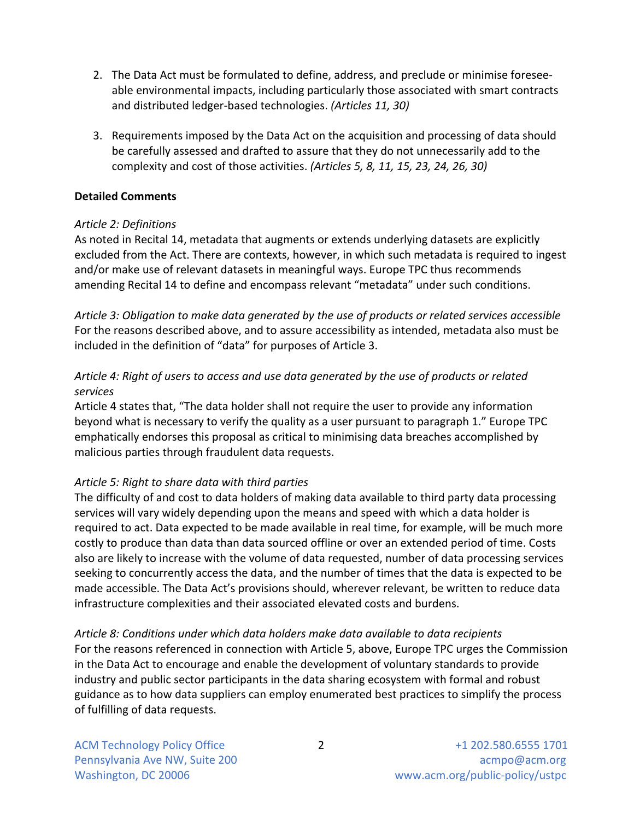- 2. The Data Act must be formulated to define, address, and preclude or minimise foreseeable environmental impacts, including particularly those associated with smart contracts and distributed ledger-based technologies. *(Articles 11, 30)*
- 3. Requirements imposed by the Data Act on the acquisition and processing of data should be carefully assessed and drafted to assure that they do not unnecessarily add to the complexity and cost of those activities. *(Articles 5, 8, 11, 15, 23, 24, 26, 30)*

#### **Detailed Comments**

# *Article 2: Definitions*

As noted in Recital 14, metadata that augments or extends underlying datasets are explicitly excluded from the Act. There are contexts, however, in which such metadata is required to ingest and/or make use of relevant datasets in meaningful ways. Europe TPC thus recommends amending Recital 14 to define and encompass relevant "metadata" under such conditions.

*Article 3: Obligation to make data generated by the use of products or related services accessible* For the reasons described above, and to assure accessibility as intended, metadata also must be included in the definition of "data" for purposes of Article 3.

# *Article 4: Right of users to access and use data generated by the use of products or related services*

Article 4 states that, "The data holder shall not require the user to provide any information beyond what is necessary to verify the quality as a user pursuant to paragraph 1." Europe TPC emphatically endorses this proposal as critical to minimising data breaches accomplished by malicious parties through fraudulent data requests.

# *Article 5: Right to share data with third parties*

The difficulty of and cost to data holders of making data available to third party data processing services will vary widely depending upon the means and speed with which a data holder is required to act. Data expected to be made available in real time, for example, will be much more costly to produce than data than data sourced offline or over an extended period of time. Costs also are likely to increase with the volume of data requested, number of data processing services seeking to concurrently access the data, and the number of times that the data is expected to be made accessible. The Data Act's provisions should, wherever relevant, be written to reduce data infrastructure complexities and their associated elevated costs and burdens.

#### *Article 8: Conditions under which data holders make data available to data recipients*

For the reasons referenced in connection with Article 5, above, Europe TPC urges the Commission in the Data Act to encourage and enable the development of voluntary standards to provide industry and public sector participants in the data sharing ecosystem with formal and robust guidance as to how data suppliers can employ enumerated best practices to simplify the process of fulfilling of data requests.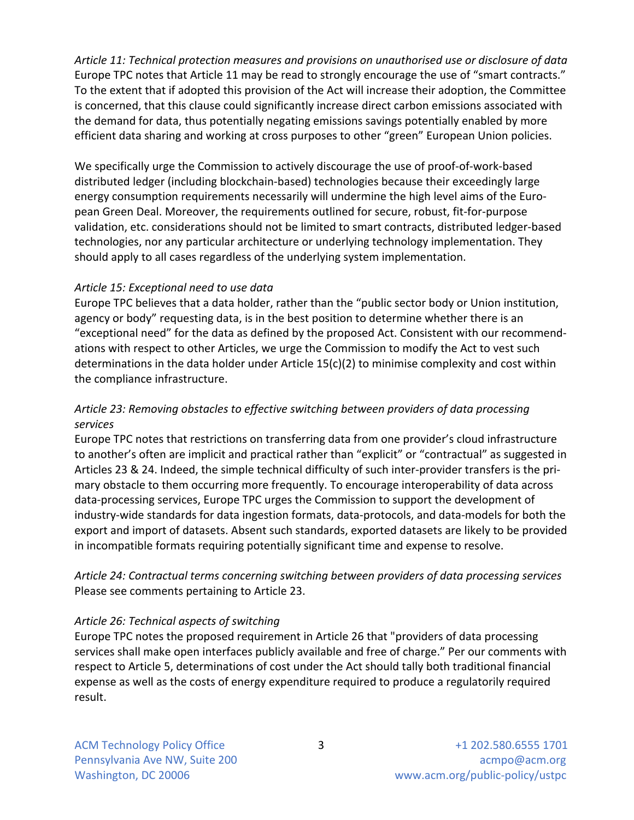*Article 11: Technical protection measures and provisions on unauthorised use or disclosure of data* Europe TPC notes that Article 11 may be read to strongly encourage the use of "smart contracts." To the extent that if adopted this provision of the Act will increase their adoption, the Committee is concerned, that this clause could significantly increase direct carbon emissions associated with the demand for data, thus potentially negating emissions savings potentially enabled by more efficient data sharing and working at cross purposes to other "green" European Union policies.

We specifically urge the Commission to actively discourage the use of proof-of-work-based distributed ledger (including blockchain-based) technologies because their exceedingly large energy consumption requirements necessarily will undermine the high level aims of the European Green Deal. Moreover, the requirements outlined for secure, robust, fit-for-purpose validation, etc. considerations should not be limited to smart contracts, distributed ledger-based technologies, nor any particular architecture or underlying technology implementation. They should apply to all cases regardless of the underlying system implementation.

## *Article 15: Exceptional need to use data*

Europe TPC believes that a data holder, rather than the "public sector body or Union institution, agency or body" requesting data, is in the best position to determine whether there is an "exceptional need" for the data as defined by the proposed Act. Consistent with our recommendations with respect to other Articles, we urge the Commission to modify the Act to vest such determinations in the data holder under Article 15(c)(2) to minimise complexity and cost within the compliance infrastructure.

## *Article 23: Removing obstacles to effective switching between providers of data processing services*

Europe TPC notes that restrictions on transferring data from one provider's cloud infrastructure to another's often are implicit and practical rather than "explicit" or "contractual" as suggested in Articles 23 & 24. Indeed, the simple technical difficulty of such inter-provider transfers is the primary obstacle to them occurring more frequently. To encourage interoperability of data across data-processing services, Europe TPC urges the Commission to support the development of industry-wide standards for data ingestion formats, data-protocols, and data-models for both the export and import of datasets. Absent such standards, exported datasets are likely to be provided in incompatible formats requiring potentially significant time and expense to resolve.

*Article 24: Contractual terms concerning switching between providers of data processing services* Please see comments pertaining to Article 23.

# *Article 26: Technical aspects of switching*

Europe TPC notes the proposed requirement in Article 26 that "providers of data processing services shall make open interfaces publicly available and free of charge." Per our comments with respect to Article 5, determinations of cost under the Act should tally both traditional financial expense as well as the costs of energy expenditure required to produce a regulatorily required result.